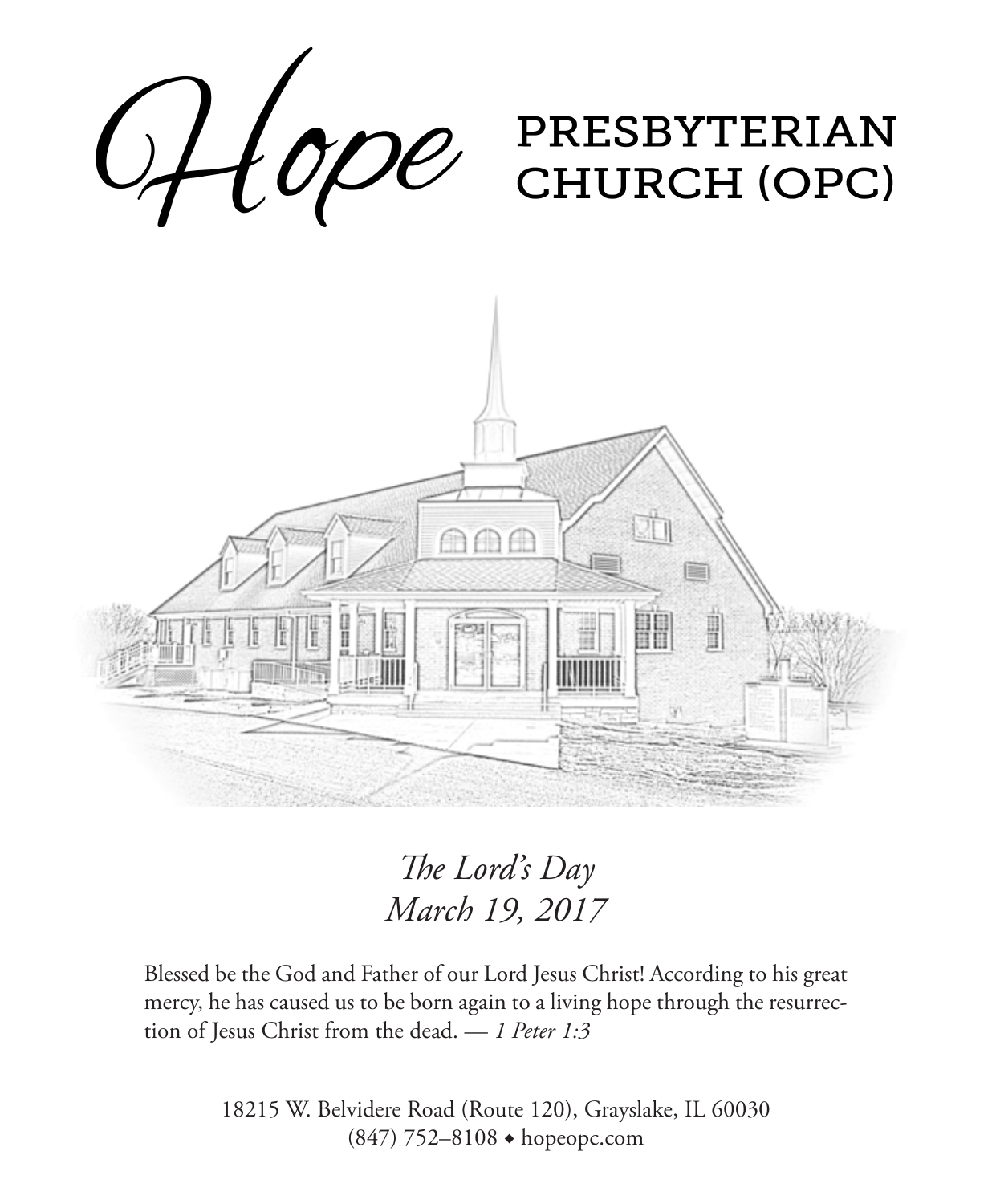

*The Lord's Day March 19, 2017*

Blessed be the God and Father of our Lord Jesus Christ! According to his great mercy, he has caused us to be born again to a living hope through the resurrection of Jesus Christ from the dead. — *1 Peter 1:3*

> 18215 W. Belvidere Road (Route 120), Grayslake, IL 60030 (847) 752–8108 ◆ hopeopc.com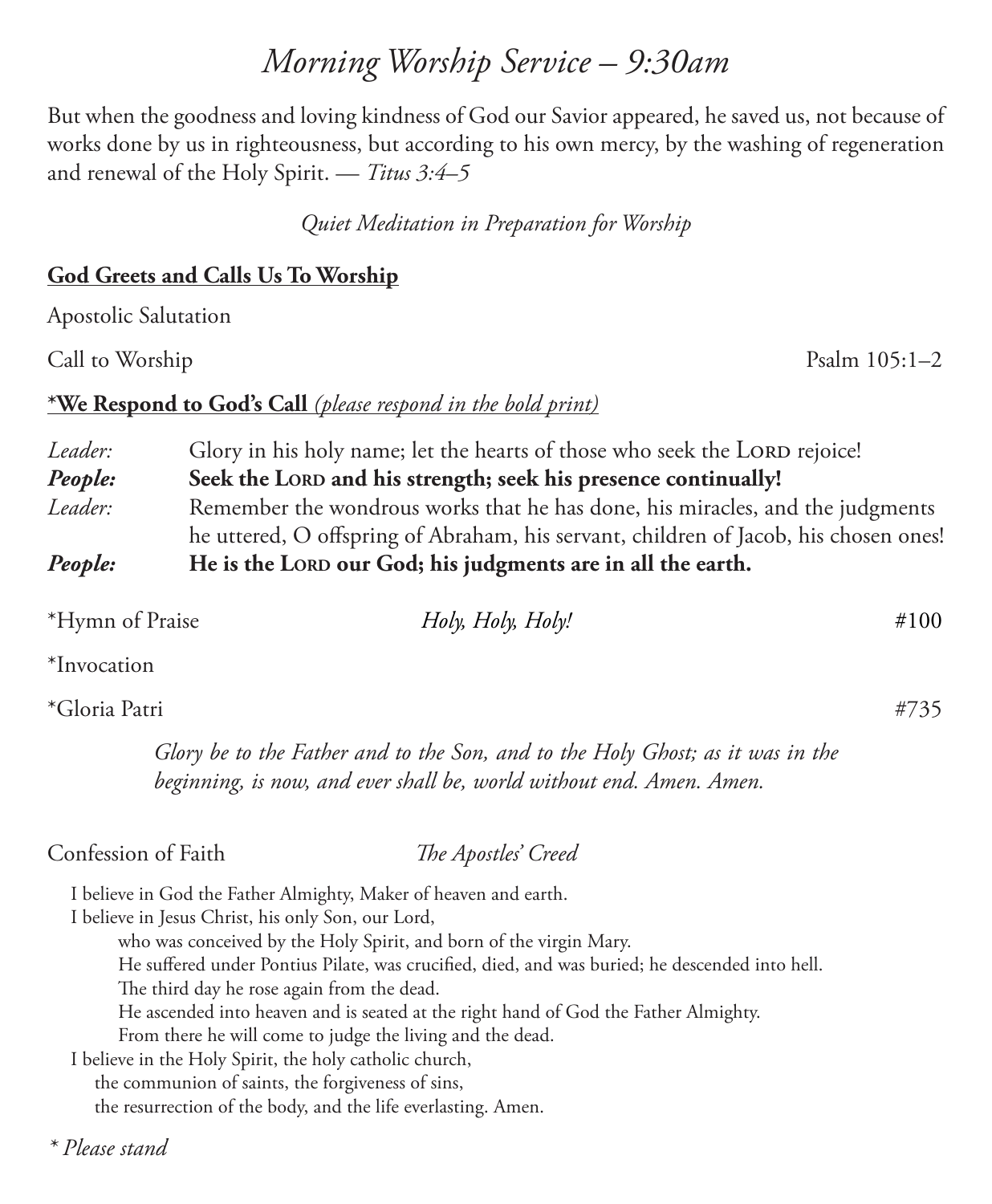## *Morning Worship Service – 9:30am*

But when the goodness and loving kindness of God our Savior appeared, he saved us, not because of works done by us in righteousness, but according to his own mercy, by the washing of regeneration and renewal of the Holy Spirit. — *Titus 3:4–5*

*Quiet Meditation in Preparation for Worship*

## **God Greets and Calls Us To Worship**

Apostolic Salutation

Call to Worship Psalm 105:1–2

### **\*We Respond to God's Call** *(please respond in the bold print)*

*Leader:* Glory in his holy name; let the hearts of those who seek the LORD rejoice! **People:** Seek the LORD and his strength; seek his presence continually! *Leader:* Remember the wondrous works that he has done, his miracles, and the judgments he uttered, O offspring of Abraham, his servant, children of Jacob, his chosen ones! *People:* **He is the LORD our God; his judgments are in all the earth.** 

| *Hymn of Praise | Holy, Holy, Holy! | #100 |
|-----------------|-------------------|------|
| $+T$            |                   |      |

\*Invocation

## \*Gloria Patri #735

*Glory be to the Father and to the Son, and to the Holy Ghost; as it was in the beginning, is now, and ever shall be, world without end. Amen. Amen.*

Confession of Faith *The Apostles' Creed*

I believe in God the Father Almighty, Maker of heaven and earth.

I believe in Jesus Christ, his only Son, our Lord,

who was conceived by the Holy Spirit, and born of the virgin Mary.

He suffered under Pontius Pilate, was crucified, died, and was buried; he descended into hell.

The third day he rose again from the dead.

He ascended into heaven and is seated at the right hand of God the Father Almighty.

From there he will come to judge the living and the dead.

I believe in the Holy Spirit, the holy catholic church,

the communion of saints, the forgiveness of sins,

the resurrection of the body, and the life everlasting. Amen.

*\* Please stand*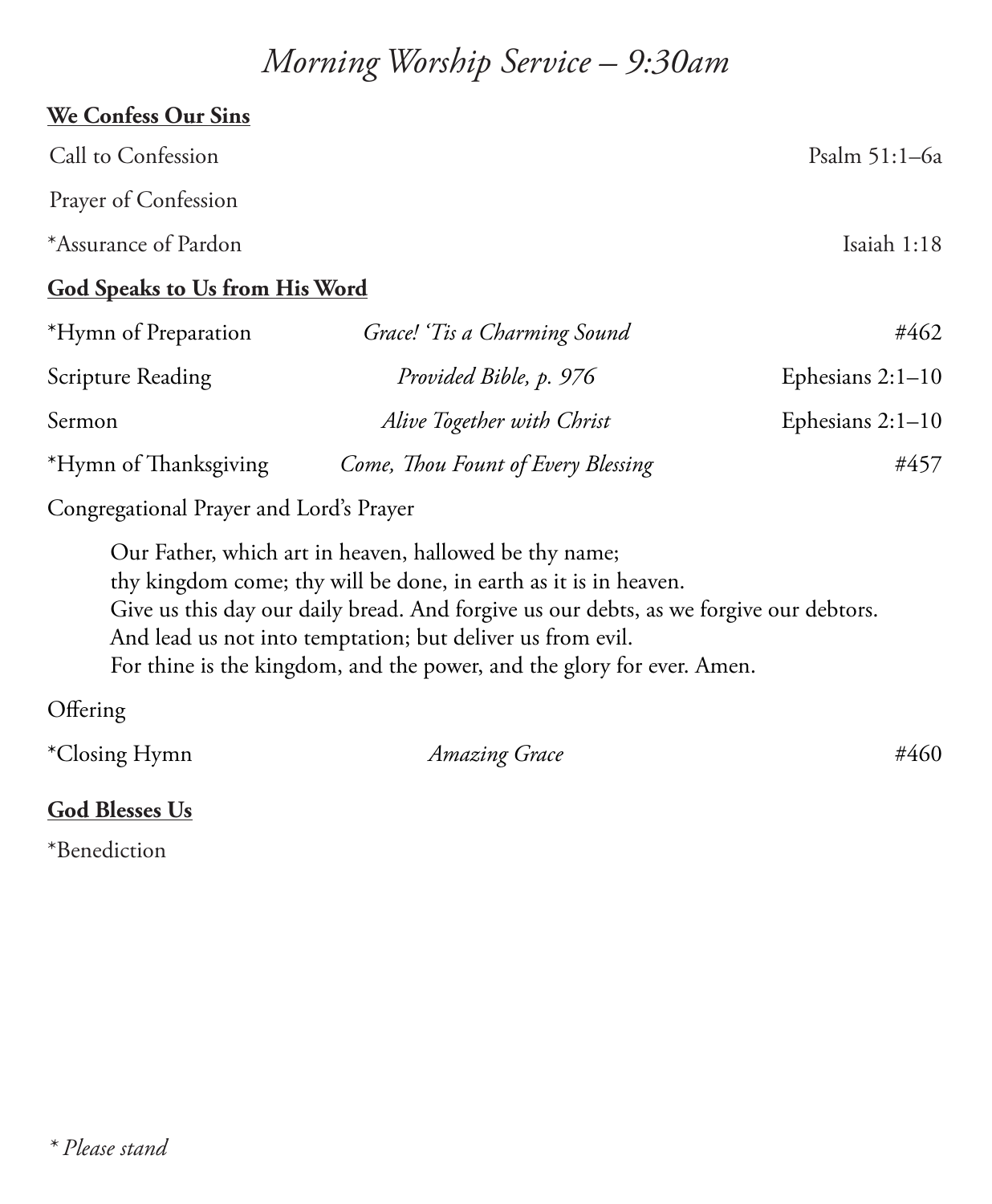## *Morning Worship Service – 9:30am*

# **We Confess Our Sins** Call to Confession Psalm 51:1–6a Prayer of Confession \*Assurance of Pardon Isaiah 1:18 **God Speaks to Us from His Word** \*Hymn of Preparation *Grace! 'Tis a Charming Sound* #462 Scripture Reading *Provided Bible, p. 976* Ephesians 2:1-10 Sermon *Alive Together with Christ* Ephesians 2:1–10 \*Hymn of Thanksgiving *Come, Thou Fount of Every Blessing* #457

Congregational Prayer and Lord's Prayer

Our Father, which art in heaven, hallowed be thy name; thy kingdom come; thy will be done, in earth as it is in heaven. Give us this day our daily bread. And forgive us our debts, as we forgive our debtors. And lead us not into temptation; but deliver us from evil. For thine is the kingdom, and the power, and the glory for ever. Amen.

**Offering** 

| *Closing Hymn | <b>Amazing Grace</b> | #460 |
|---------------|----------------------|------|
|               |                      |      |

### **God Blesses Us**

\*Benediction